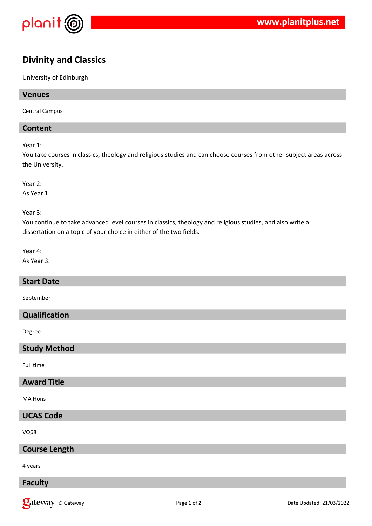

# **Divinity and Classics**

University of Edinburgh

# **Venues**

Central Campus

# **Content**

Year 1:

You take courses in classics, theology and religious studies and can choose courses from other subject areas across the University.

Year 2:

As Year 1.

Year 3:

You continue to take advanced level courses in classics, theology and religious studies, and also write a dissertation on a topic of your choice in either of the two fields.

Year 4:

As Year 3.

### **Start Date**

September

# **Qualification**

Degree

# **Study Method**

Full time

# **Award Title**

MA Hons

# **UCAS Code**

 $V<sub>068</sub>$ 

### **Course Length**

4 years

# **Faculty**